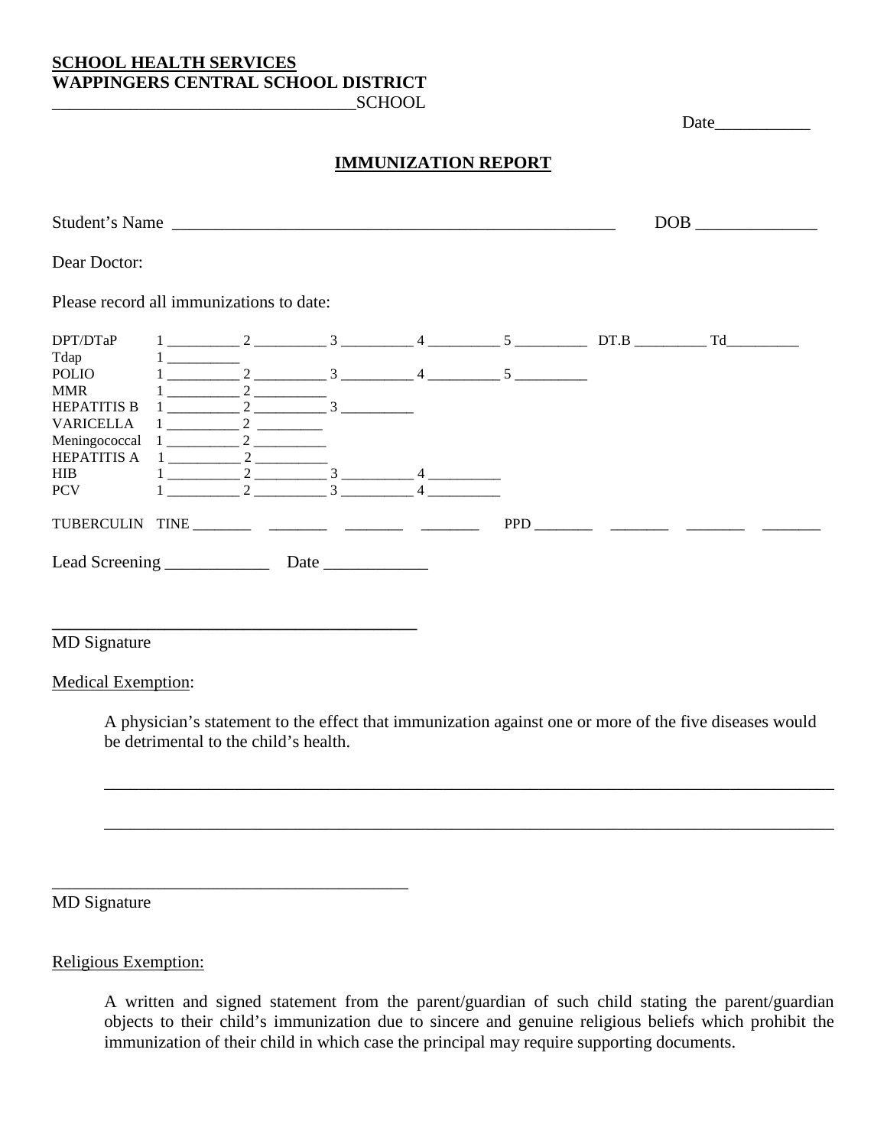## **SCHOOL HEALTH SERVICES WAPPINGERS CENTRAL SCHOOL DISTRICT**

**\_\_\_\_\_\_\_\_\_\_\_\_\_\_\_\_\_\_\_\_\_\_\_\_\_\_\_\_\_\_\_\_\_\_\_\_\_\_\_\_\_\_**

\_\_\_\_\_\_\_\_\_\_\_\_\_\_\_\_\_\_\_\_\_\_\_\_\_\_\_\_\_\_\_\_\_\_\_\_\_\_\_\_\_

 $SCHOOL$ 

Date\_\_\_\_\_\_\_\_\_\_\_

## **IMMUNIZATION REPORT**

| Student's Name <b>Student</b> 's Name    |                                |                     |   |  |                                           |                                                                                                                        | DOB <sub>2</sub> and the set of the set of the set of the set of the set of the set of the set of the set of the set of the set of the set of the set of the set of the set of the set of the set of the set of the set of the set of th |
|------------------------------------------|--------------------------------|---------------------|---|--|-------------------------------------------|------------------------------------------------------------------------------------------------------------------------|------------------------------------------------------------------------------------------------------------------------------------------------------------------------------------------------------------------------------------------|
| Dear Doctor:                             |                                |                     |   |  |                                           |                                                                                                                        |                                                                                                                                                                                                                                          |
| Please record all immunizations to date: |                                |                     |   |  |                                           |                                                                                                                        |                                                                                                                                                                                                                                          |
| DPT/DTaP                                 |                                |                     |   |  | $1 \quad 2 \quad 3 \quad 4 \quad 5 \quad$ | DT.B                                                                                                                   | Td and the state of the state of the state of the state of the state of the state of the state of the state of the state of the state of the state of the state of the state of the state of the state of the state of the sta           |
| Tdap                                     | $1 \underline{\hspace{1cm}}$   |                     |   |  | $\frac{1}{2}$ $\frac{3}{4}$ $\frac{4}{5}$ |                                                                                                                        |                                                                                                                                                                                                                                          |
| POLIO<br><b>MMR</b>                      |                                | $\mathfrak{D}$      |   |  |                                           |                                                                                                                        |                                                                                                                                                                                                                                          |
| <b>HEPATITIS B</b>                       | $1 \underline{\hspace{1cm}} 2$ | $\overline{3}$      |   |  |                                           |                                                                                                                        |                                                                                                                                                                                                                                          |
| <b>VARICELLA</b>                         |                                |                     |   |  |                                           |                                                                                                                        |                                                                                                                                                                                                                                          |
| Meningococcal                            |                                | $1 \qquad \qquad 2$ |   |  |                                           |                                                                                                                        |                                                                                                                                                                                                                                          |
| <b>HEPATITIS A</b>                       | $\mathbf{1}$ and $\mathbf{1}$  | $\gamma$            |   |  |                                           |                                                                                                                        |                                                                                                                                                                                                                                          |
| <b>HIB</b>                               |                                | $1 \qquad \qquad 2$ |   |  |                                           |                                                                                                                        |                                                                                                                                                                                                                                          |
| <b>PCV</b>                               |                                | 2                   | 3 |  |                                           |                                                                                                                        |                                                                                                                                                                                                                                          |
|                                          |                                |                     |   |  | PPD                                       | <u> 1990 - Jan Barbara Barat, prima popular popular popular popular popular popular popular popular popular popula</u> |                                                                                                                                                                                                                                          |
| Lead Screening                           |                                |                     |   |  |                                           |                                                                                                                        |                                                                                                                                                                                                                                          |

MD Signature

## Medical Exemption:

A physician's statement to the effect that immunization against one or more of the five diseases would be detrimental to the child's health.

\_\_\_\_\_\_\_\_\_\_\_\_\_\_\_\_\_\_\_\_\_\_\_\_\_\_\_\_\_\_\_\_\_\_\_\_\_\_\_\_\_\_\_\_\_\_\_\_\_\_\_\_\_\_\_\_\_\_\_\_\_\_\_\_\_\_\_\_\_\_\_\_\_\_\_\_\_\_\_\_\_\_\_\_

\_\_\_\_\_\_\_\_\_\_\_\_\_\_\_\_\_\_\_\_\_\_\_\_\_\_\_\_\_\_\_\_\_\_\_\_\_\_\_\_\_\_\_\_\_\_\_\_\_\_\_\_\_\_\_\_\_\_\_\_\_\_\_\_\_\_\_\_\_\_\_\_\_\_\_\_\_\_\_\_\_\_\_\_

MD Signature

Religious Exemption:

A written and signed statement from the parent/guardian of such child stating the parent/guardian objects to their child's immunization due to sincere and genuine religious beliefs which prohibit the immunization of their child in which case the principal may require supporting documents.